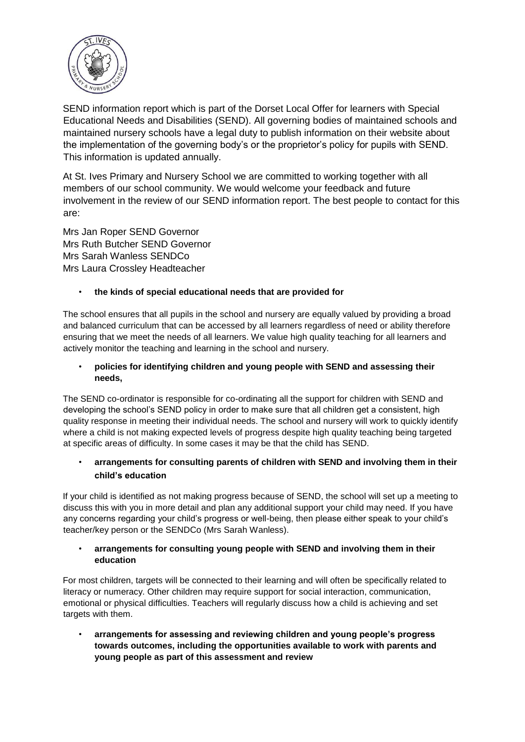

SEND information report which is part of the Dorset Local Offer for learners with Special Educational Needs and Disabilities (SEND). All governing bodies of maintained schools and maintained nursery schools have a legal duty to publish information on their website about the implementation of the governing body's or the proprietor's policy for pupils with SEND. This information is updated annually.

At St. Ives Primary and Nursery School we are committed to working together with all members of our school community. We would welcome your feedback and future involvement in the review of our SEND information report. The best people to contact for this are:

Mrs Jan Roper SEND Governor Mrs Ruth Butcher SEND Governor Mrs Sarah Wanless SENDCo Mrs Laura Crossley Headteacher

# • **the kinds of special educational needs that are provided for**

The school ensures that all pupils in the school and nursery are equally valued by providing a broad and balanced curriculum that can be accessed by all learners regardless of need or ability therefore ensuring that we meet the needs of all learners. We value high quality teaching for all learners and actively monitor the teaching and learning in the school and nursery.

## • **policies for identifying children and young people with SEND and assessing their needs,**

The SEND co-ordinator is responsible for co-ordinating all the support for children with SEND and developing the school's SEND policy in order to make sure that all children get a consistent, high quality response in meeting their individual needs. The school and nursery will work to quickly identify where a child is not making expected levels of progress despite high quality teaching being targeted at specific areas of difficulty. In some cases it may be that the child has SEND.

# • **arrangements for consulting parents of children with SEND and involving them in their child's education**

If your child is identified as not making progress because of SEND, the school will set up a meeting to discuss this with you in more detail and plan any additional support your child may need. If you have any concerns regarding your child's progress or well-being, then please either speak to your child's teacher/key person or the SENDCo (Mrs Sarah Wanless).

# • **arrangements for consulting young people with SEND and involving them in their education**

For most children, targets will be connected to their learning and will often be specifically related to literacy or numeracy. Other children may require support for social interaction, communication, emotional or physical difficulties. Teachers will regularly discuss how a child is achieving and set targets with them.

• **arrangements for assessing and reviewing children and young people's progress towards outcomes, including the opportunities available to work with parents and young people as part of this assessment and review**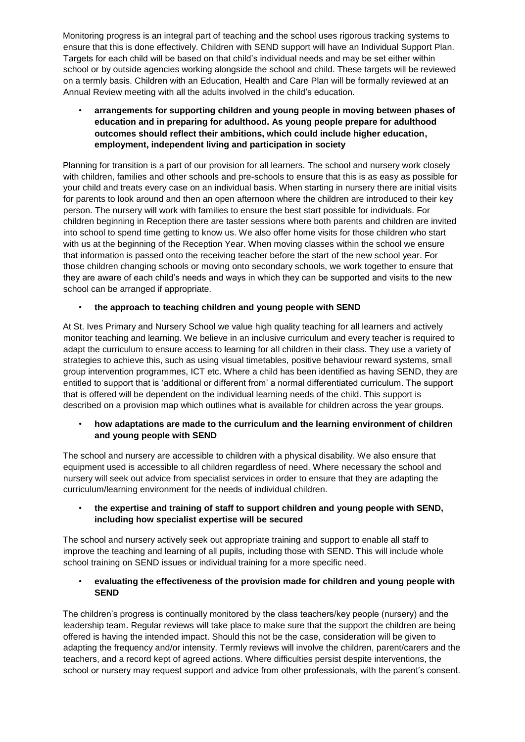Monitoring progress is an integral part of teaching and the school uses rigorous tracking systems to ensure that this is done effectively. Children with SEND support will have an Individual Support Plan. Targets for each child will be based on that child's individual needs and may be set either within school or by outside agencies working alongside the school and child. These targets will be reviewed on a termly basis. Children with an Education, Health and Care Plan will be formally reviewed at an Annual Review meeting with all the adults involved in the child's education.

• **arrangements for supporting children and young people in moving between phases of education and in preparing for adulthood. As young people prepare for adulthood outcomes should reflect their ambitions, which could include higher education, employment, independent living and participation in society** 

Planning for transition is a part of our provision for all learners. The school and nursery work closely with children, families and other schools and pre-schools to ensure that this is as easy as possible for your child and treats every case on an individual basis. When starting in nursery there are initial visits for parents to look around and then an open afternoon where the children are introduced to their key person. The nursery will work with families to ensure the best start possible for individuals. For children beginning in Reception there are taster sessions where both parents and children are invited into school to spend time getting to know us. We also offer home visits for those children who start with us at the beginning of the Reception Year. When moving classes within the school we ensure that information is passed onto the receiving teacher before the start of the new school year. For those children changing schools or moving onto secondary schools, we work together to ensure that they are aware of each child's needs and ways in which they can be supported and visits to the new school can be arranged if appropriate.

# • **the approach to teaching children and young people with SEND**

At St. Ives Primary and Nursery School we value high quality teaching for all learners and actively monitor teaching and learning. We believe in an inclusive curriculum and every teacher is required to adapt the curriculum to ensure access to learning for all children in their class. They use a variety of strategies to achieve this, such as using visual timetables, positive behaviour reward systems, small group intervention programmes, ICT etc. Where a child has been identified as having SEND, they are entitled to support that is 'additional or different from' a normal differentiated curriculum. The support that is offered will be dependent on the individual learning needs of the child. This support is described on a provision map which outlines what is available for children across the year groups.

## • **how adaptations are made to the curriculum and the learning environment of children and young people with SEND**

The school and nursery are accessible to children with a physical disability. We also ensure that equipment used is accessible to all children regardless of need. Where necessary the school and nursery will seek out advice from specialist services in order to ensure that they are adapting the curriculum/learning environment for the needs of individual children.

#### • **the expertise and training of staff to support children and young people with SEND, including how specialist expertise will be secured**

The school and nursery actively seek out appropriate training and support to enable all staff to improve the teaching and learning of all pupils, including those with SEND. This will include whole school training on SEND issues or individual training for a more specific need.

## • **evaluating the effectiveness of the provision made for children and young people with SEND**

The children's progress is continually monitored by the class teachers/key people (nursery) and the leadership team. Regular reviews will take place to make sure that the support the children are being offered is having the intended impact. Should this not be the case, consideration will be given to adapting the frequency and/or intensity. Termly reviews will involve the children, parent/carers and the teachers, and a record kept of agreed actions. Where difficulties persist despite interventions, the school or nursery may request support and advice from other professionals, with the parent's consent.